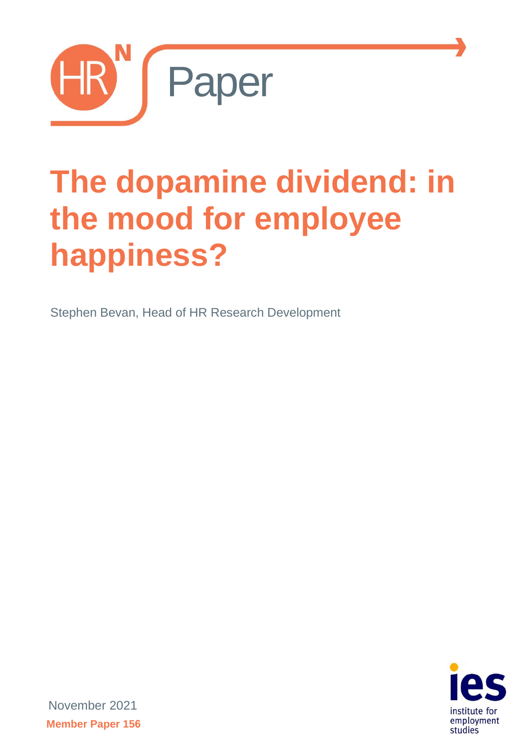

# **The dopamine dividend: in the mood for employee happiness?**

Stephen Bevan, Head of HR Research Development



November 2021 **Member Paper 156**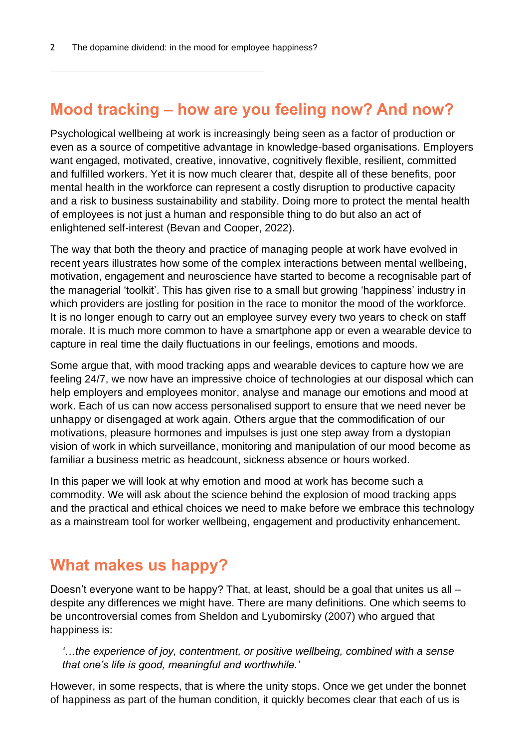## **Mood tracking – how are you feeling now? And now?**

Psychological wellbeing at work is increasingly being seen as a factor of production or even as a source of competitive advantage in knowledge-based organisations. Employers want engaged, motivated, creative, innovative, cognitively flexible, resilient, committed and fulfilled workers. Yet it is now much clearer that, despite all of these benefits, poor mental health in the workforce can represent a costly disruption to productive capacity and a risk to business sustainability and stability. Doing more to protect the mental health of employees is not just a human and responsible thing to do but also an act of enlightened self-interest (Bevan and Cooper, 2022).

The way that both the theory and practice of managing people at work have evolved in recent years illustrates how some of the complex interactions between mental wellbeing, motivation, engagement and neuroscience have started to become a recognisable part of the managerial 'toolkit'. This has given rise to a small but growing 'happiness' industry in which providers are jostling for position in the race to monitor the mood of the workforce. It is no longer enough to carry out an employee survey every two years to check on staff morale. It is much more common to have a smartphone app or even a wearable device to capture in real time the daily fluctuations in our feelings, emotions and moods.

Some argue that, with mood tracking apps and wearable devices to capture how we are feeling 24/7, we now have an impressive choice of technologies at our disposal which can help employers and employees monitor, analyse and manage our emotions and mood at work. Each of us can now access personalised support to ensure that we need never be unhappy or disengaged at work again. Others argue that the commodification of our motivations, pleasure hormones and impulses is just one step away from a dystopian vision of work in which surveillance, monitoring and manipulation of our mood become as familiar a business metric as headcount, sickness absence or hours worked.

In this paper we will look at why emotion and mood at work has become such a commodity. We will ask about the science behind the explosion of mood tracking apps and the practical and ethical choices we need to make before we embrace this technology as a mainstream tool for worker wellbeing, engagement and productivity enhancement.

## **What makes us happy?**

Doesn't everyone want to be happy? That, at least, should be a goal that unites us all – despite any differences we might have. There are many definitions. One which seems to be uncontroversial comes from Sheldon and Lyubomirsky (2007) who argued that happiness is:

*'…the experience of joy, contentment, or positive wellbeing, combined with a sense that one's life is good, meaningful and worthwhile.'*

However, in some respects, that is where the unity stops. Once we get under the bonnet of happiness as part of the human condition, it quickly becomes clear that each of us is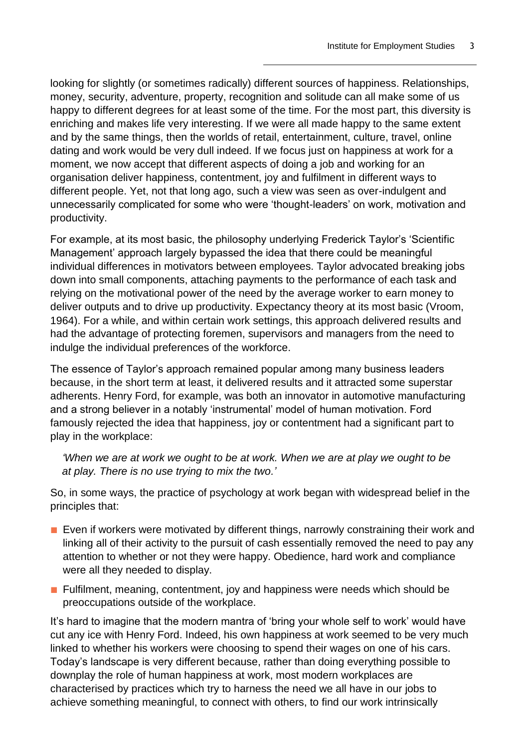looking for slightly (or sometimes radically) different sources of happiness. Relationships, money, security, adventure, property, recognition and solitude can all make some of us happy to different degrees for at least some of the time. For the most part, this diversity is enriching and makes life very interesting. If we were all made happy to the same extent and by the same things, then the worlds of retail, entertainment, culture, travel, online dating and work would be very dull indeed. If we focus just on happiness at work for a moment, we now accept that different aspects of doing a job and working for an organisation deliver happiness, contentment, joy and fulfilment in different ways to different people. Yet, not that long ago, such a view was seen as over-indulgent and unnecessarily complicated for some who were 'thought-leaders' on work, motivation and productivity.

For example, at its most basic, the philosophy underlying Frederick Taylor's 'Scientific Management' approach largely bypassed the idea that there could be meaningful individual differences in motivators between employees. Taylor advocated breaking jobs down into small components, attaching payments to the performance of each task and relying on the motivational power of the need by the average worker to earn money to deliver outputs and to drive up productivity. Expectancy theory at its most basic (Vroom, 1964). For a while, and within certain work settings, this approach delivered results and had the advantage of protecting foremen, supervisors and managers from the need to indulge the individual preferences of the workforce.

The essence of Taylor's approach remained popular among many business leaders because, in the short term at least, it delivered results and it attracted some superstar adherents. Henry Ford, for example, was both an innovator in automotive manufacturing and a strong believer in a notably 'instrumental' model of human motivation. Ford famously rejected the idea that happiness, joy or contentment had a significant part to play in the workplace:

*'When we are at work we ought to be at work. When we are at play we ought to be at play. There is no use trying to mix the two.'*

So, in some ways, the practice of psychology at work began with widespread belief in the principles that:

- Even if workers were motivated by different things, narrowly constraining their work and linking all of their activity to the pursuit of cash essentially removed the need to pay any attention to whether or not they were happy. Obedience, hard work and compliance were all they needed to display.
- Fulfilment, meaning, contentment, joy and happiness were needs which should be preoccupations outside of the workplace.

It's hard to imagine that the modern mantra of 'bring your whole self to work' would have cut any ice with Henry Ford. Indeed, his own happiness at work seemed to be very much linked to whether his workers were choosing to spend their wages on one of his cars. Today's landscape is very different because, rather than doing everything possible to downplay the role of human happiness at work, most modern workplaces are characterised by practices which try to harness the need we all have in our jobs to achieve something meaningful, to connect with others, to find our work intrinsically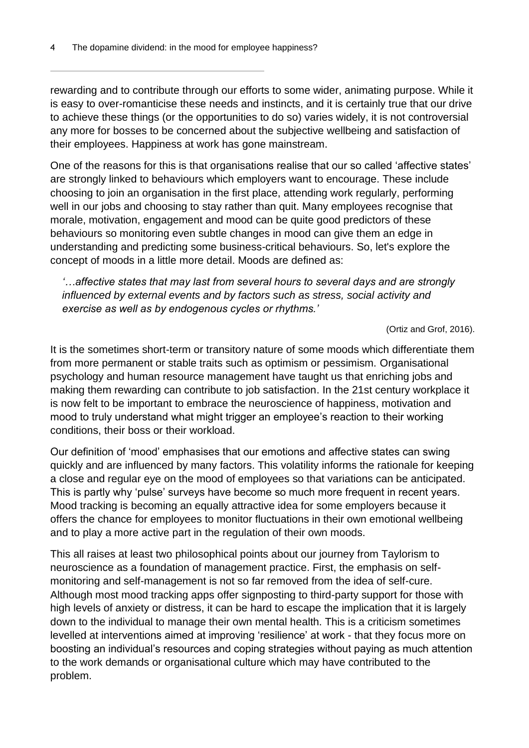rewarding and to contribute through our efforts to some wider, animating purpose. While it is easy to over-romanticise these needs and instincts, and it is certainly true that our drive to achieve these things (or the opportunities to do so) varies widely, it is not controversial any more for bosses to be concerned about the subjective wellbeing and satisfaction of their employees. Happiness at work has gone mainstream.

One of the reasons for this is that organisations realise that our so called 'affective states' are strongly linked to behaviours which employers want to encourage. These include choosing to join an organisation in the first place, attending work regularly, performing well in our jobs and choosing to stay rather than quit. Many employees recognise that morale, motivation, engagement and mood can be quite good predictors of these behaviours so monitoring even subtle changes in mood can give them an edge in understanding and predicting some business-critical behaviours. So, let's explore the concept of moods in a little more detail. Moods are defined as:

*'…affective states that may last from several hours to several days and are strongly influenced by external events and by factors such as stress, social activity and exercise as well as by endogenous cycles or rhythms.'*

(Ortiz and Grof, 2016).

It is the sometimes short-term or transitory nature of some moods which differentiate them from more permanent or stable traits such as optimism or pessimism. Organisational psychology and human resource management have taught us that enriching jobs and making them rewarding can contribute to job satisfaction. In the 21st century workplace it is now felt to be important to embrace the neuroscience of happiness, motivation and mood to truly understand what might trigger an employee's reaction to their working conditions, their boss or their workload.

Our definition of 'mood' emphasises that our emotions and affective states can swing quickly and are influenced by many factors. This volatility informs the rationale for keeping a close and regular eye on the mood of employees so that variations can be anticipated. This is partly why 'pulse' surveys have become so much more frequent in recent years. Mood tracking is becoming an equally attractive idea for some employers because it offers the chance for employees to monitor fluctuations in their own emotional wellbeing and to play a more active part in the regulation of their own moods.

This all raises at least two philosophical points about our journey from Taylorism to neuroscience as a foundation of management practice. First, the emphasis on selfmonitoring and self-management is not so far removed from the idea of self-cure. Although most mood tracking apps offer signposting to third-party support for those with high levels of anxiety or distress, it can be hard to escape the implication that it is largely down to the individual to manage their own mental health. This is a criticism sometimes levelled at interventions aimed at improving 'resilience' at work - that they focus more on boosting an individual's resources and coping strategies without paying as much attention to the work demands or organisational culture which may have contributed to the problem.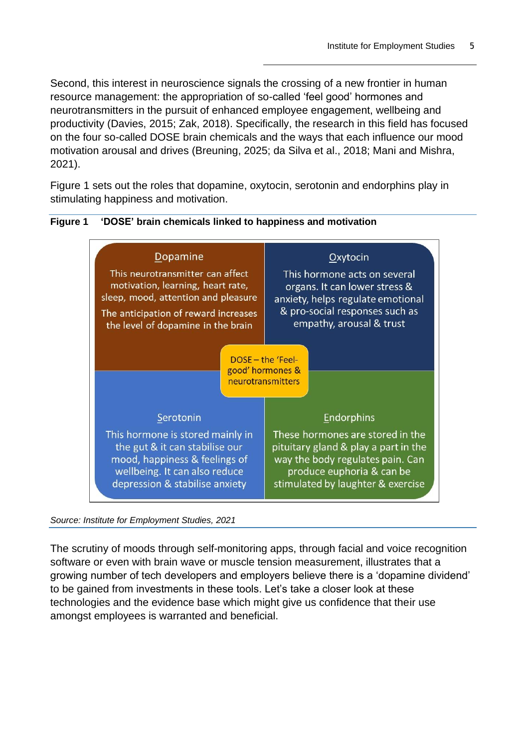Second, this interest in neuroscience signals the crossing of a new frontier in human resource management: the appropriation of so-called 'feel good' hormones and neurotransmitters in the pursuit of enhanced employee engagement, wellbeing and productivity (Davies, 2015; Zak, 2018). Specifically, the research in this field has focused on the four so-called DOSE brain chemicals and the ways that each influence our mood motivation arousal and drives (Breuning, 2025; da Silva et al., 2018; Mani and Mishra, 2021).

Figure 1 sets out the roles that dopamine, oxytocin, serotonin and endorphins play in stimulating happiness and motivation.



#### **Figure 1 'DOSE' brain chemicals linked to happiness and motivation**

*Source: Institute for Employment Studies, 2021*

The scrutiny of moods through self-monitoring apps, through facial and voice recognition software or even with brain wave or muscle tension measurement, illustrates that a growing number of tech developers and employers believe there is a 'dopamine dividend' to be gained from investments in these tools. Let's take a closer look at these technologies and the evidence base which might give us confidence that their use amongst employees is warranted and beneficial.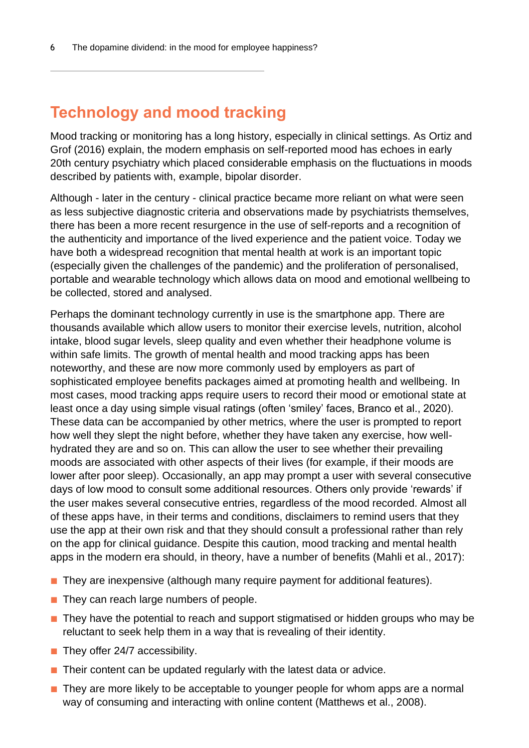## **Technology and mood tracking**

Mood tracking or monitoring has a long history, especially in clinical settings. As Ortiz and Grof (2016) explain, the modern emphasis on self-reported mood has echoes in early 20th century psychiatry which placed considerable emphasis on the fluctuations in moods described by patients with, example, bipolar disorder.

Although - later in the century - clinical practice became more reliant on what were seen as less subjective diagnostic criteria and observations made by psychiatrists themselves, there has been a more recent resurgence in the use of self-reports and a recognition of the authenticity and importance of the lived experience and the patient voice. Today we have both a widespread recognition that mental health at work is an important topic (especially given the challenges of the pandemic) and the proliferation of personalised, portable and wearable technology which allows data on mood and emotional wellbeing to be collected, stored and analysed.

Perhaps the dominant technology currently in use is the smartphone app. There are thousands available which allow users to monitor their exercise levels, nutrition, alcohol intake, blood sugar levels, sleep quality and even whether their headphone volume is within safe limits. The growth of mental health and mood tracking apps has been noteworthy, and these are now more commonly used by employers as part of sophisticated employee benefits packages aimed at promoting health and wellbeing. In most cases, mood tracking apps require users to record their mood or emotional state at least once a day using simple visual ratings (often 'smiley' faces, Branco et al., 2020). These data can be accompanied by other metrics, where the user is prompted to report how well they slept the night before, whether they have taken any exercise, how wellhydrated they are and so on. This can allow the user to see whether their prevailing moods are associated with other aspects of their lives (for example, if their moods are lower after poor sleep). Occasionally, an app may prompt a user with several consecutive days of low mood to consult some additional resources. Others only provide 'rewards' if the user makes several consecutive entries, regardless of the mood recorded. Almost all of these apps have, in their terms and conditions, disclaimers to remind users that they use the app at their own risk and that they should consult a professional rather than rely on the app for clinical guidance. Despite this caution, mood tracking and mental health apps in the modern era should, in theory, have a number of benefits (Mahli et al., 2017):

- They are inexpensive (although many require payment for additional features).
- They can reach large numbers of people.
- They have the potential to reach and support stigmatised or hidden groups who may be reluctant to seek help them in a way that is revealing of their identity.
- They offer 24/7 accessibility.
- Their content can be updated regularly with the latest data or advice.
- They are more likely to be acceptable to younger people for whom apps are a normal way of consuming and interacting with online content (Matthews et al., 2008).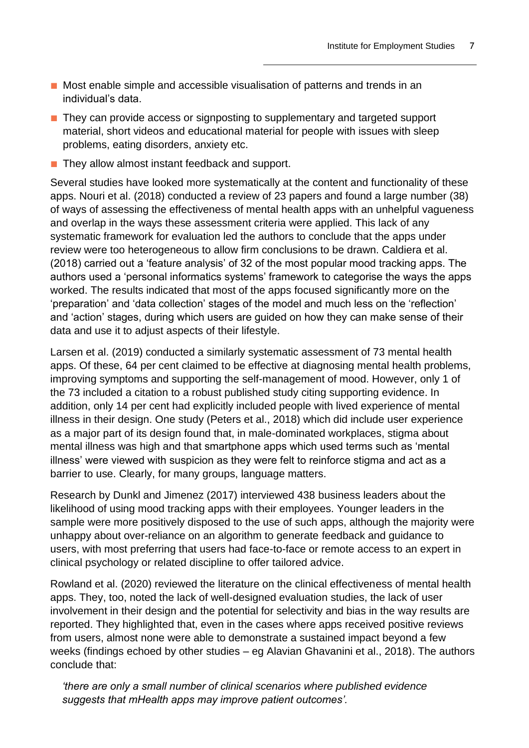- Most enable simple and accessible visualisation of patterns and trends in an individual's data.
- They can provide access or signposting to supplementary and targeted support material, short videos and educational material for people with issues with sleep problems, eating disorders, anxiety etc.
- They allow almost instant feedback and support.

Several studies have looked more systematically at the content and functionality of these apps. Nouri et al. (2018) conducted a review of 23 papers and found a large number (38) of ways of assessing the effectiveness of mental health apps with an unhelpful vagueness and overlap in the ways these assessment criteria were applied. This lack of any systematic framework for evaluation led the authors to conclude that the apps under review were too heterogeneous to allow firm conclusions to be drawn. Caldiera et al. (2018) carried out a 'feature analysis' of 32 of the most popular mood tracking apps. The authors used a 'personal informatics systems' framework to categorise the ways the apps worked. The results indicated that most of the apps focused significantly more on the 'preparation' and 'data collection' stages of the model and much less on the 'reflection' and 'action' stages, during which users are guided on how they can make sense of their data and use it to adjust aspects of their lifestyle.

Larsen et al. (2019) conducted a similarly systematic assessment of 73 mental health apps. Of these, 64 per cent claimed to be effective at diagnosing mental health problems, improving symptoms and supporting the self-management of mood. However, only 1 of the 73 included a citation to a robust published study citing supporting evidence. In addition, only 14 per cent had explicitly included people with lived experience of mental illness in their design. One study (Peters et al., 2018) which did include user experience as a major part of its design found that, in male-dominated workplaces, stigma about mental illness was high and that smartphone apps which used terms such as 'mental illness' were viewed with suspicion as they were felt to reinforce stigma and act as a barrier to use. Clearly, for many groups, language matters.

Research by Dunkl and Jimenez (2017) interviewed 438 business leaders about the likelihood of using mood tracking apps with their employees. Younger leaders in the sample were more positively disposed to the use of such apps, although the majority were unhappy about over-reliance on an algorithm to generate feedback and guidance to users, with most preferring that users had face-to-face or remote access to an expert in clinical psychology or related discipline to offer tailored advice.

Rowland et al. (2020) reviewed the literature on the clinical effectiveness of mental health apps. They, too, noted the lack of well-designed evaluation studies, the lack of user involvement in their design and the potential for selectivity and bias in the way results are reported. They highlighted that, even in the cases where apps received positive reviews from users, almost none were able to demonstrate a sustained impact beyond a few weeks (findings echoed by other studies – eg Alavian Ghavanini et al., 2018). The authors conclude that:

*'there are only a small number of clinical scenarios where published evidence suggests that mHealth apps may improve patient outcomes'.*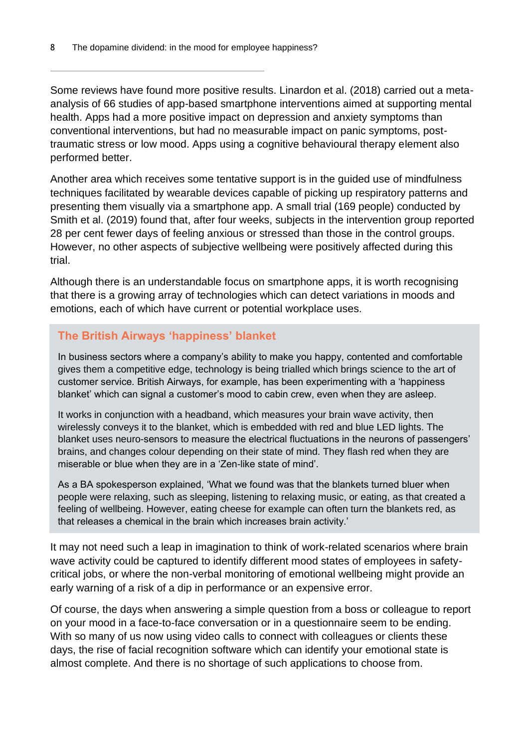Some reviews have found more positive results. Linardon et al. (2018) carried out a metaanalysis of 66 studies of app-based smartphone interventions aimed at supporting mental health. Apps had a more positive impact on depression and anxiety symptoms than conventional interventions, but had no measurable impact on panic symptoms, posttraumatic stress or low mood. Apps using a cognitive behavioural therapy element also performed better.

Another area which receives some tentative support is in the guided use of mindfulness techniques facilitated by wearable devices capable of picking up respiratory patterns and presenting them visually via a smartphone app. A small trial (169 people) conducted by Smith et al. (2019) found that, after four weeks, subjects in the intervention group reported 28 per cent fewer days of feeling anxious or stressed than those in the control groups. However, no other aspects of subjective wellbeing were positively affected during this trial.

Although there is an understandable focus on smartphone apps, it is worth recognising that there is a growing array of technologies which can detect variations in moods and emotions, each of which have current or potential workplace uses.

#### **The British Airways 'happiness' blanket**

In business sectors where a company's ability to make you happy, contented and comfortable gives them a competitive edge, technology is being trialled which brings science to the art of customer service. British Airways, for example, has been experimenting with a 'happiness blanket' which can signal a customer's mood to cabin crew, even when they are asleep.

It works in conjunction with a headband, which measures your brain wave activity, then wirelessly conveys it to the blanket, which is embedded with red and blue LED lights. The blanket uses neuro-sensors to measure the electrical fluctuations in the neurons of passengers' brains, and changes colour depending on their state of mind. They flash red when they are miserable or blue when they are in a 'Zen-like state of mind'.

As a BA spokesperson explained, 'What we found was that the blankets turned bluer when people were relaxing, such as sleeping, listening to relaxing music, or eating, as that created a feeling of wellbeing. However, eating cheese for example can often turn the blankets red, as that releases a chemical in the brain which increases brain activity.'

It may not need such a leap in imagination to think of work-related scenarios where brain wave activity could be captured to identify different mood states of employees in safetycritical jobs, or where the non-verbal monitoring of emotional wellbeing might provide an early warning of a risk of a dip in performance or an expensive error.

Of course, the days when answering a simple question from a boss or colleague to report on your mood in a face-to-face conversation or in a questionnaire seem to be ending. With so many of us now using video calls to connect with colleagues or clients these days, the rise of facial recognition software which can identify your emotional state is almost complete. And there is no shortage of such applications to choose from.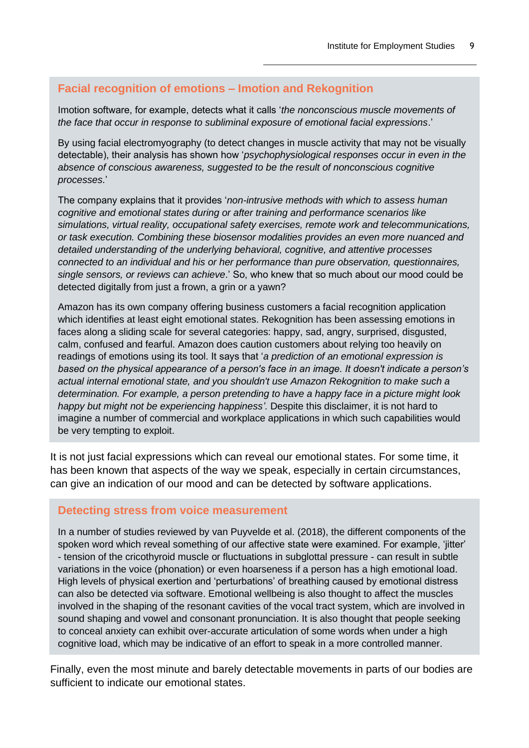#### **Facial recognition of emotions – Imotion and Rekognition**

Imotion software, for example, detects what it calls '*the nonconscious muscle movements of the face that occur in response to subliminal exposure of emotional facial expressions*.'

By using facial electromyography (to detect changes in muscle activity that may not be visually detectable), their analysis has shown how '*psychophysiological responses occur in even in the absence of conscious awareness, suggested to be the result of nonconscious cognitive processes*.'

The company explains that it provides '*non-intrusive methods with which to assess human cognitive and emotional states during or after training and performance scenarios like simulations, virtual reality, occupational safety exercises, remote work and telecommunications, or task execution. Combining these biosensor modalities provides an even more nuanced and detailed understanding of the underlying behavioral, cognitive, and attentive processes connected to an individual and his or her performance than pure observation, questionnaires, single sensors, or reviews can achieve*.' So, who knew that so much about our mood could be detected digitally from just a frown, a grin or a yawn?

Amazon has its own company offering business customers a facial recognition application which identifies at least eight emotional states. Rekognition has been assessing emotions in faces along a sliding scale for several categories: happy, sad, angry, surprised, disgusted, calm, confused and fearful. Amazon does caution customers about relying too heavily on readings of emotions using its tool. It says that '*a prediction of an emotional expression is based on the physical appearance of a person's face in an image. It doesn't indicate a person's actual internal emotional state, and you shouldn't use Amazon Rekognition to make such a determination. For example, a person pretending to have a happy face in a picture might look happy but might not be experiencing happiness'.* Despite this disclaimer, it is not hard to imagine a number of commercial and workplace applications in which such capabilities would be very tempting to exploit.

It is not just facial expressions which can reveal our emotional states. For some time, it has been known that aspects of the way we speak, especially in certain circumstances, can give an indication of our mood and can be detected by software applications.

#### **Detecting stress from voice measurement**

In a number of studies reviewed by van Puyvelde et al. (2018), the different components of the spoken word which reveal something of our affective state were examined. For example, 'jitter' - tension of the cricothyroid muscle or fluctuations in subglottal pressure - can result in subtle variations in the voice (phonation) or even hoarseness if a person has a high emotional load. High levels of physical exertion and 'perturbations' of breathing caused by emotional distress can also be detected via software. Emotional wellbeing is also thought to affect the muscles involved in the shaping of the resonant cavities of the vocal tract system, which are involved in sound shaping and vowel and consonant pronunciation. It is also thought that people seeking to conceal anxiety can exhibit over-accurate articulation of some words when under a high cognitive load, which may be indicative of an effort to speak in a more controlled manner.

Finally, even the most minute and barely detectable movements in parts of our bodies are sufficient to indicate our emotional states.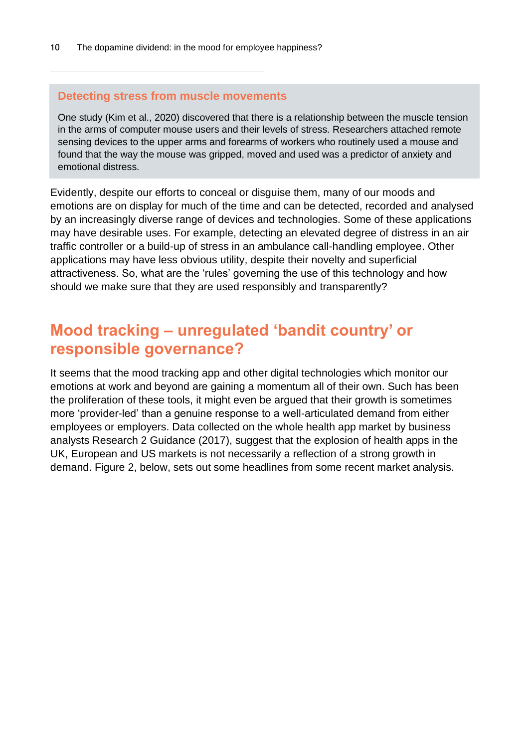#### **Detecting stress from muscle movements**

One study (Kim et al., 2020) discovered that there is a relationship between the muscle tension in the arms of computer mouse users and their levels of stress. Researchers attached remote sensing devices to the upper arms and forearms of workers who routinely used a mouse and found that the way the mouse was gripped, moved and used was a predictor of anxiety and emotional distress.

Evidently, despite our efforts to conceal or disguise them, many of our moods and emotions are on display for much of the time and can be detected, recorded and analysed by an increasingly diverse range of devices and technologies. Some of these applications may have desirable uses. For example, detecting an elevated degree of distress in an air traffic controller or a build-up of stress in an ambulance call-handling employee. Other applications may have less obvious utility, despite their novelty and superficial attractiveness. So, what are the 'rules' governing the use of this technology and how should we make sure that they are used responsibly and transparently?

## **Mood tracking – unregulated 'bandit country' or responsible governance?**

It seems that the mood tracking app and other digital technologies which monitor our emotions at work and beyond are gaining a momentum all of their own. Such has been the proliferation of these tools, it might even be argued that their growth is sometimes more 'provider-led' than a genuine response to a well-articulated demand from either employees or employers. Data collected on the whole health app market by business analysts Research 2 Guidance (2017), suggest that the explosion of health apps in the UK, European and US markets is not necessarily a reflection of a strong growth in demand. Figure 2, below, sets out some headlines from some recent market analysis.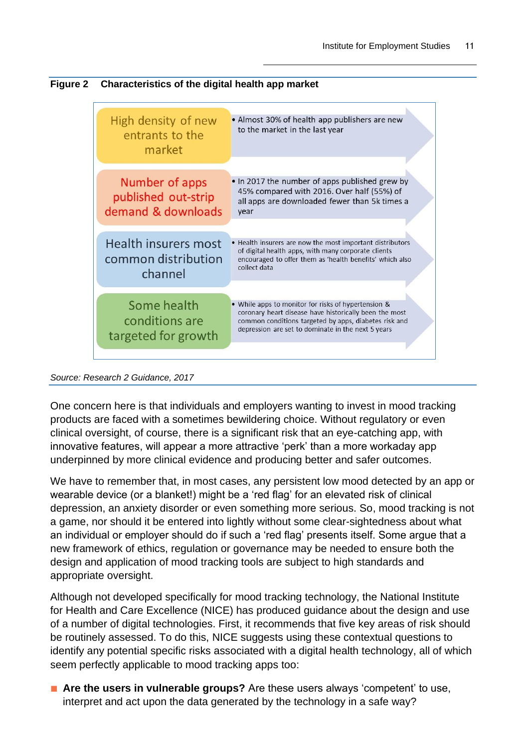



*Source: Research 2 Guidance, 2017*

One concern here is that individuals and employers wanting to invest in mood tracking products are faced with a sometimes bewildering choice. Without regulatory or even clinical oversight, of course, there is a significant risk that an eye-catching app, with innovative features, will appear a more attractive 'perk' than a more workaday app underpinned by more clinical evidence and producing better and safer outcomes.

We have to remember that, in most cases, any persistent low mood detected by an app or wearable device (or a blanket!) might be a 'red flag' for an elevated risk of clinical depression, an anxiety disorder or even something more serious. So, mood tracking is not a game, nor should it be entered into lightly without some clear-sightedness about what an individual or employer should do if such a 'red flag' presents itself. Some argue that a new framework of ethics, regulation or governance may be needed to ensure both the design and application of mood tracking tools are subject to high standards and appropriate oversight.

Although not developed specifically for mood tracking technology, the National Institute for Health and Care Excellence (NICE) has produced guidance about the design and use of a number of digital technologies. First, it recommends that five key areas of risk should be routinely assessed. To do this, NICE suggests using these contextual questions to identify any potential specific risks associated with a digital health technology, all of which seem perfectly applicable to mood tracking apps too:

■ Are the users in vulnerable groups? Are these users always 'competent' to use, interpret and act upon the data generated by the technology in a safe way?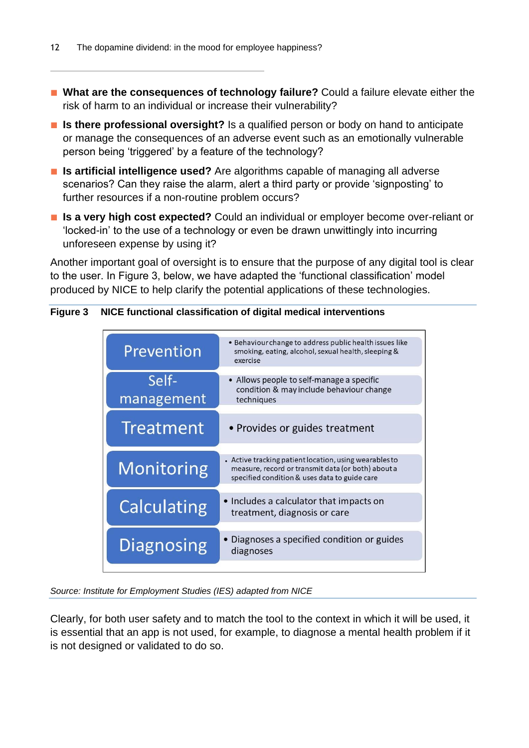- What are the consequences of technology failure? Could a failure elevate either the risk of harm to an individual or increase their vulnerability?
- **Is there professional oversight?** Is a qualified person or body on hand to anticipate or manage the consequences of an adverse event such as an emotionally vulnerable person being 'triggered' by a feature of the technology?
- **Is artificial intelligence used?** Are algorithms capable of managing all adverse scenarios? Can they raise the alarm, alert a third party or provide 'signposting' to further resources if a non-routine problem occurs?
- **Is a very high cost expected?** Could an individual or employer become over-reliant or 'locked-in' to the use of a technology or even be drawn unwittingly into incurring unforeseen expense by using it?

Another important goal of oversight is to ensure that the purpose of any digital tool is clear to the user. In Figure 3, below, we have adapted the 'functional classification' model produced by NICE to help clarify the potential applications of these technologies.

#### **Figure 3 NICE functional classification of digital medical interventions**

![](_page_11_Figure_7.jpeg)

*Source: Institute for Employment Studies (IES) adapted from NICE* 

Clearly, for both user safety and to match the tool to the context in which it will be used, it is essential that an app is not used, for example, to diagnose a mental health problem if it is not designed or validated to do so.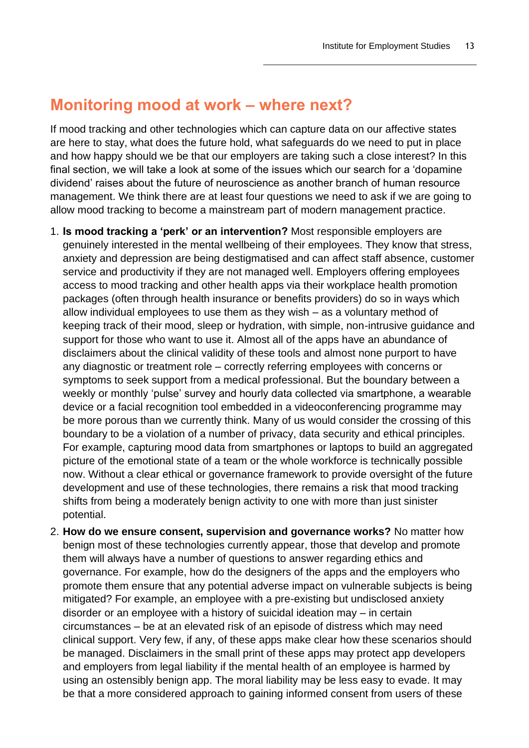### **Monitoring mood at work – where next?**

If mood tracking and other technologies which can capture data on our affective states are here to stay, what does the future hold, what safeguards do we need to put in place and how happy should we be that our employers are taking such a close interest? In this final section, we will take a look at some of the issues which our search for a 'dopamine dividend' raises about the future of neuroscience as another branch of human resource management. We think there are at least four questions we need to ask if we are going to allow mood tracking to become a mainstream part of modern management practice.

- 1. **Is mood tracking a 'perk' or an intervention?** Most responsible employers are genuinely interested in the mental wellbeing of their employees. They know that stress, anxiety and depression are being destigmatised and can affect staff absence, customer service and productivity if they are not managed well. Employers offering employees access to mood tracking and other health apps via their workplace health promotion packages (often through health insurance or benefits providers) do so in ways which allow individual employees to use them as they wish – as a voluntary method of keeping track of their mood, sleep or hydration, with simple, non-intrusive guidance and support for those who want to use it. Almost all of the apps have an abundance of disclaimers about the clinical validity of these tools and almost none purport to have any diagnostic or treatment role – correctly referring employees with concerns or symptoms to seek support from a medical professional. But the boundary between a weekly or monthly 'pulse' survey and hourly data collected via smartphone, a wearable device or a facial recognition tool embedded in a videoconferencing programme may be more porous than we currently think. Many of us would consider the crossing of this boundary to be a violation of a number of privacy, data security and ethical principles. For example, capturing mood data from smartphones or laptops to build an aggregated picture of the emotional state of a team or the whole workforce is technically possible now. Without a clear ethical or governance framework to provide oversight of the future development and use of these technologies, there remains a risk that mood tracking shifts from being a moderately benign activity to one with more than just sinister potential.
- 2. **How do we ensure consent, supervision and governance works?** No matter how benign most of these technologies currently appear, those that develop and promote them will always have a number of questions to answer regarding ethics and governance. For example, how do the designers of the apps and the employers who promote them ensure that any potential adverse impact on vulnerable subjects is being mitigated? For example, an employee with a pre-existing but undisclosed anxiety disorder or an employee with a history of suicidal ideation may – in certain circumstances – be at an elevated risk of an episode of distress which may need clinical support. Very few, if any, of these apps make clear how these scenarios should be managed. Disclaimers in the small print of these apps may protect app developers and employers from legal liability if the mental health of an employee is harmed by using an ostensibly benign app. The moral liability may be less easy to evade. It may be that a more considered approach to gaining informed consent from users of these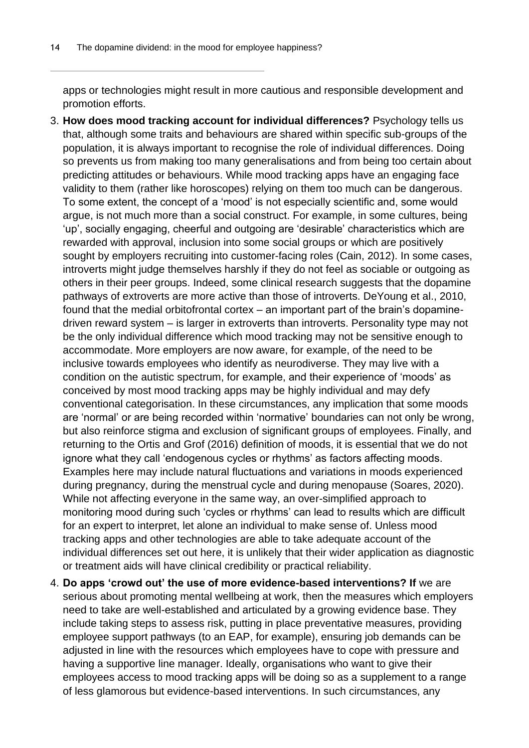apps or technologies might result in more cautious and responsible development and promotion efforts.

- 3. **How does mood tracking account for individual differences?** Psychology tells us that, although some traits and behaviours are shared within specific sub-groups of the population, it is always important to recognise the role of individual differences. Doing so prevents us from making too many generalisations and from being too certain about predicting attitudes or behaviours. While mood tracking apps have an engaging face validity to them (rather like horoscopes) relying on them too much can be dangerous. To some extent, the concept of a 'mood' is not especially scientific and, some would argue, is not much more than a social construct. For example, in some cultures, being 'up', socially engaging, cheerful and outgoing are 'desirable' characteristics which are rewarded with approval, inclusion into some social groups or which are positively sought by employers recruiting into customer-facing roles (Cain, 2012). In some cases, introverts might judge themselves harshly if they do not feel as sociable or outgoing as others in their peer groups. Indeed, some clinical research suggests that the dopamine pathways of extroverts are more active than those of introverts. DeYoung et al., 2010, found that the medial orbitofrontal cortex – an important part of the brain's dopaminedriven reward system – is larger in extroverts than introverts. Personality type may not be the only individual difference which mood tracking may not be sensitive enough to accommodate. More employers are now aware, for example, of the need to be inclusive towards employees who identify as neurodiverse. They may live with a condition on the autistic spectrum, for example, and their experience of 'moods' as conceived by most mood tracking apps may be highly individual and may defy conventional categorisation. In these circumstances, any implication that some moods are 'normal' or are being recorded within 'normative' boundaries can not only be wrong, but also reinforce stigma and exclusion of significant groups of employees. Finally, and returning to the Ortis and Grof (2016) definition of moods, it is essential that we do not ignore what they call 'endogenous cycles or rhythms' as factors affecting moods. Examples here may include natural fluctuations and variations in moods experienced during pregnancy, during the menstrual cycle and during menopause (Soares, 2020). While not affecting everyone in the same way, an over-simplified approach to monitoring mood during such 'cycles or rhythms' can lead to results which are difficult for an expert to interpret, let alone an individual to make sense of. Unless mood tracking apps and other technologies are able to take adequate account of the individual differences set out here, it is unlikely that their wider application as diagnostic or treatment aids will have clinical credibility or practical reliability.
- 4. **Do apps 'crowd out' the use of more evidence-based interventions? If** we are serious about promoting mental wellbeing at work, then the measures which employers need to take are well-established and articulated by a growing evidence base. They include taking steps to assess risk, putting in place preventative measures, providing employee support pathways (to an EAP, for example), ensuring job demands can be adjusted in line with the resources which employees have to cope with pressure and having a supportive line manager. Ideally, organisations who want to give their employees access to mood tracking apps will be doing so as a supplement to a range of less glamorous but evidence-based interventions. In such circumstances, any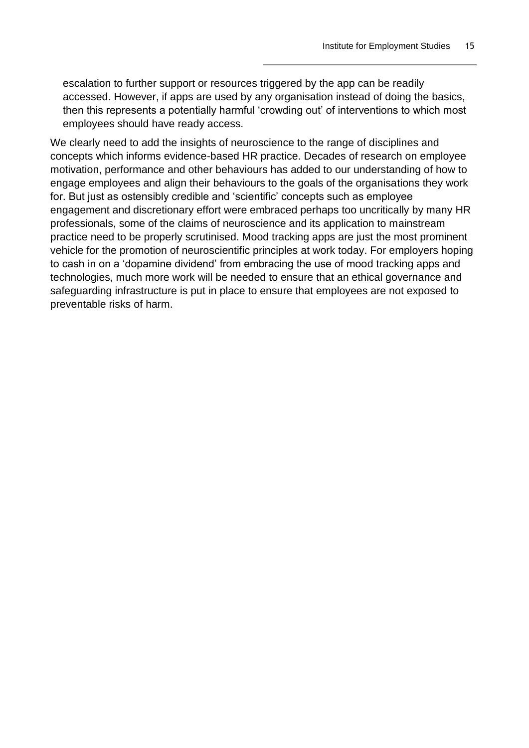escalation to further support or resources triggered by the app can be readily accessed. However, if apps are used by any organisation instead of doing the basics, then this represents a potentially harmful 'crowding out' of interventions to which most employees should have ready access.

We clearly need to add the insights of neuroscience to the range of disciplines and concepts which informs evidence-based HR practice. Decades of research on employee motivation, performance and other behaviours has added to our understanding of how to engage employees and align their behaviours to the goals of the organisations they work for. But just as ostensibly credible and 'scientific' concepts such as employee engagement and discretionary effort were embraced perhaps too uncritically by many HR professionals, some of the claims of neuroscience and its application to mainstream practice need to be properly scrutinised. Mood tracking apps are just the most prominent vehicle for the promotion of neuroscientific principles at work today. For employers hoping to cash in on a 'dopamine dividend' from embracing the use of mood tracking apps and technologies, much more work will be needed to ensure that an ethical governance and safeguarding infrastructure is put in place to ensure that employees are not exposed to preventable risks of harm.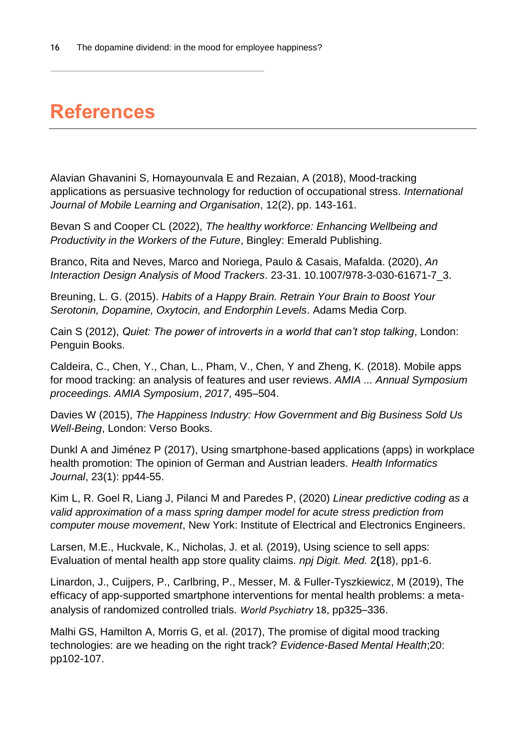## **References**

Alavian Ghavanini S, Homayounvala E and Rezaian, A (2018), Mood-tracking applications as persuasive technology for reduction of occupational stress. *International Journal of Mobile Learning and Organisation*, 12(2), pp. 143-161.

Bevan S and Cooper CL (2022), *The healthy workforce: Enhancing Wellbeing and Productivity in the Workers of the Future*, Bingley: Emerald Publishing.

Branco, Rita and Neves, Marco and Noriega, Paulo & Casais, Mafalda. (2020), *An Interaction Design Analysis of Mood Trackers*. 23-31. 10.1007/978-3-030-61671-7\_3.

Breuning, L. G. (2015). *Habits of a Happy Brain. Retrain Your Brain to Boost Your Serotonin, Dopamine, Oxytocin, and Endorphin Levels*. Adams Media Corp.

Cain S (2012), *Quiet: The power of introverts in a world that can't stop talking*, London: Penguin Books.

Caldeira, C., Chen, Y., Chan, L., Pham, V., Chen, Y and Zheng, K. (2018). Mobile apps for mood tracking: an analysis of features and user reviews. *AMIA ... Annual Symposium proceedings. AMIA Symposium*, *2017*, 495–504.

Davies W (2015), *The Happiness Industry: How Government and Big Business Sold Us Well-Being*, London: Verso Books.

Dunkl A and Jiménez P (2017), Using smartphone-based applications (apps) in workplace health promotion: The opinion of German and Austrian leaders. *Health Informatics Journal*, 23(1): pp44-55.

Kim L, R. Goel R, Liang J, Pilanci M and Paredes P, (2020) *Linear predictive coding as a valid approximation of a mass spring damper model for acute stress prediction from computer mouse movement*, New York: Institute of Electrical and Electronics Engineers.

Larsen, M.E., Huckvale, K., Nicholas, J. et al*.* (2019), Using science to sell apps: Evaluation of mental health app store quality claims. *npj Digit. Med.* 2**(**18), pp1-6.

Linardon, J., Cuijpers, P., Carlbring, P., Messer, M. & Fuller-Tyszkiewicz, M (2019), The efficacy of app-supported smartphone interventions for mental health problems: a metaanalysis of randomized controlled trials. *World Psychiatry* 18, pp325–336.

Malhi GS, Hamilton A, Morris G, et al. (2017), The promise of digital mood tracking technologies: are we heading on the right track? *Evidence-Based Mental Health*;20: pp102-107.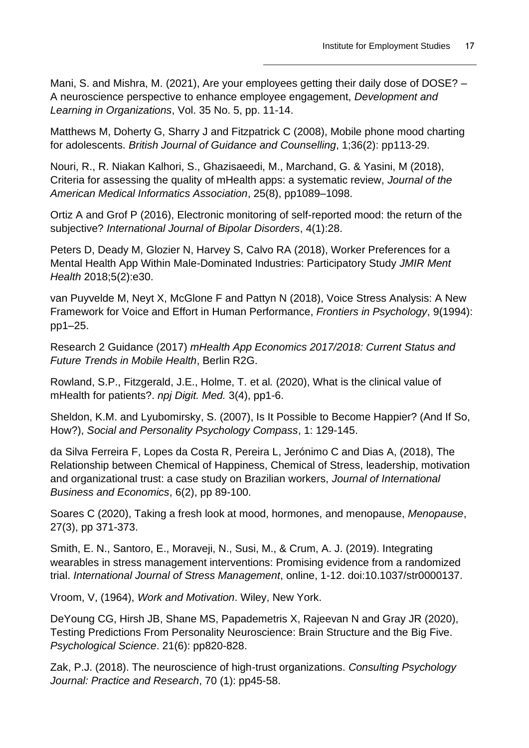Mani, S. and Mishra, M. (2021), Are your employees getting their daily dose of DOSE? – A neuroscience perspective to enhance employee engagement, *Development and Learning in Organizations*, Vol. 35 No. 5, pp. 11-14.

Matthews M, Doherty G, Sharry J and Fitzpatrick C (2008), Mobile phone mood charting for adolescents. *British Journal of Guidance and Counselling*, 1;36(2): pp113-29.

Nouri, R., R. Niakan Kalhori, S., Ghazisaeedi, M., Marchand, G. & Yasini, M (2018), Criteria for assessing the quality of mHealth apps: a systematic review, *Journal of the American Medical Informatics Association*, 25(8), pp1089–1098.

Ortiz A and Grof P (2016), Electronic monitoring of self-reported mood: the return of the subjective? *International Journal of Bipolar Disorders*, 4(1):28.

Peters D, Deady M, Glozier N, Harvey S, Calvo RA (2018), Worker Preferences for a Mental Health App Within Male-Dominated Industries: Participatory Study *JMIR Ment Health* 2018;5(2):e30.

van Puyvelde M, Neyt X, McGlone F and Pattyn N (2018), Voice Stress Analysis: A New Framework for Voice and Effort in Human Performance, *Frontiers in Psychology*, 9(1994): pp1–25.

Research 2 Guidance (2017) *mHealth App Economics 2017/2018: Current Status and Future Trends in Mobile Health*, Berlin R2G.

Rowland, S.P., Fitzgerald, J.E., Holme, T. et al*.* (2020), What is the clinical value of mHealth for patients?. *npj Digit. Med.* 3(4), pp1-6.

Sheldon, K.M. and Lyubomirsky, S. (2007), Is It Possible to Become Happier? (And If So, How?), *Social and Personality Psychology Compass*, 1: 129-145.

da Silva Ferreira F, Lopes da Costa R, Pereira L, Jerónimo C and Dias A, (2018), The Relationship between Chemical of Happiness, Chemical of Stress, leadership, motivation and organizational trust: a case study on Brazilian workers, *Journal of International Business and Economics*, 6(2), pp 89-100.

Soares C (2020), Taking a fresh look at mood, hormones, and menopause, *Menopause*, 27(3), pp 371-373.

Smith, E. N., Santoro, E., Moraveji, N., Susi, M., & Crum, A. J. (2019). Integrating wearables in stress management interventions: Promising evidence from a randomized trial. *International Journal of Stress Management*, online, 1-12. doi:10.1037/str0000137.

Vroom, V, (1964), *Work and Motivation*. Wiley, New York.

DeYoung CG, Hirsh JB, Shane MS, Papademetris X, Rajeevan N and Gray JR (2020), Testing Predictions From Personality Neuroscience: Brain Structure and the Big Five. *Psychological Science*. 21(6): pp820-828.

Zak, P.J. (2018). The neuroscience of high-trust organizations. *Consulting Psychology Journal: Practice and Research*, 70 (1): pp45-58.